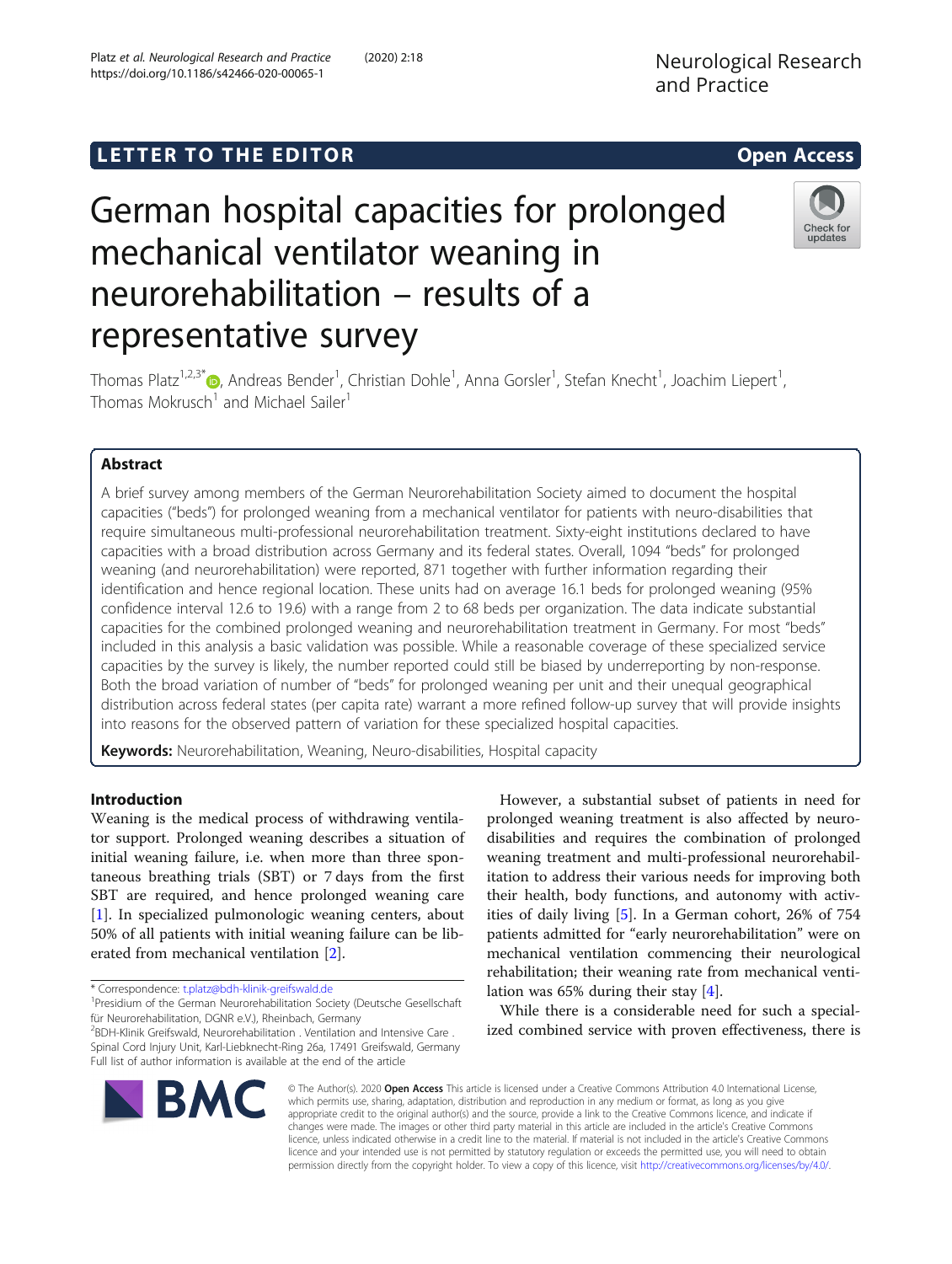# **LETTER TO THE EDITOR CONSIDERING ACCESS**

# German hospital capacities for prolonged mechanical ventilator weaning in neurorehabilitation – results of a representative survey



Thomas Platz<sup>1[,](http://orcid.org/0000-0003-2629-9744)2,3\*</sup>®, Andreas Bender<sup>1</sup>, Christian Dohle<sup>1</sup>, Anna Gorsler<sup>1</sup>, Stefan Knecht<sup>1</sup>, Joachim Liepert<sup>1</sup> , Thomas Mokrusch<sup>1</sup> and Michael Sailer<sup>1</sup>

# Abstract

A brief survey among members of the German Neurorehabilitation Society aimed to document the hospital capacities ("beds") for prolonged weaning from a mechanical ventilator for patients with neuro-disabilities that require simultaneous multi-professional neurorehabilitation treatment. Sixty-eight institutions declared to have capacities with a broad distribution across Germany and its federal states. Overall, 1094 "beds" for prolonged weaning (and neurorehabilitation) were reported, 871 together with further information regarding their identification and hence regional location. These units had on average 16.1 beds for prolonged weaning (95% confidence interval 12.6 to 19.6) with a range from 2 to 68 beds per organization. The data indicate substantial capacities for the combined prolonged weaning and neurorehabilitation treatment in Germany. For most "beds" included in this analysis a basic validation was possible. While a reasonable coverage of these specialized service capacities by the survey is likely, the number reported could still be biased by underreporting by non-response. Both the broad variation of number of "beds" for prolonged weaning per unit and their unequal geographical distribution across federal states (per capita rate) warrant a more refined follow-up survey that will provide insights into reasons for the observed pattern of variation for these specialized hospital capacities.

Keywords: Neurorehabilitation, Weaning, Neuro-disabilities, Hospital capacity

## Introduction

Weaning is the medical process of withdrawing ventilator support. Prolonged weaning describes a situation of initial weaning failure, i.e. when more than three spontaneous breathing trials (SBT) or 7 days from the first SBT are required, and hence prolonged weaning care [[1\]](#page-2-0). In specialized pulmonologic weaning centers, about 50% of all patients with initial weaning failure can be liberated from mechanical ventilation [\[2\]](#page-2-0).

\* Correspondence: [t.platz@bdh-klinik-greifswald.de](mailto:t.platz@bdh-klinik-greifswald.de) <sup>1</sup>

<sup>1</sup>Presidium of the German Neurorehabilitation Society (Deutsche Gesellschaft für Neurorehabilitation, DGNR e.V.), Rheinbach, Germany

<sup>2</sup>BDH-Klinik Greifswald, Neurorehabilitation . Ventilation and Intensive Care . Spinal Cord Injury Unit, Karl-Liebknecht-Ring 26a, 17491 Greifswald, Germany Full list of author information is available at the end of the article

However, a substantial subset of patients in need for prolonged weaning treatment is also affected by neurodisabilities and requires the combination of prolonged weaning treatment and multi-professional neurorehabilitation to address their various needs for improving both their health, body functions, and autonomy with activities of daily living [\[5](#page-3-0)]. In a German cohort, 26% of 754 patients admitted for "early neurorehabilitation" were on mechanical ventilation commencing their neurological rehabilitation; their weaning rate from mechanical ventilation was 65% during their stay [\[4](#page-2-0)].

While there is a considerable need for such a specialized combined service with proven effectiveness, there is



© The Author(s). 2020 Open Access This article is licensed under a Creative Commons Attribution 4.0 International License, which permits use, sharing, adaptation, distribution and reproduction in any medium or format, as long as you give appropriate credit to the original author(s) and the source, provide a link to the Creative Commons licence, and indicate if changes were made. The images or other third party material in this article are included in the article's Creative Commons licence, unless indicated otherwise in a credit line to the material. If material is not included in the article's Creative Commons licence and your intended use is not permitted by statutory regulation or exceeds the permitted use, you will need to obtain permission directly from the copyright holder. To view a copy of this licence, visit [http://creativecommons.org/licenses/by/4.0/.](http://creativecommons.org/licenses/by/4.0/)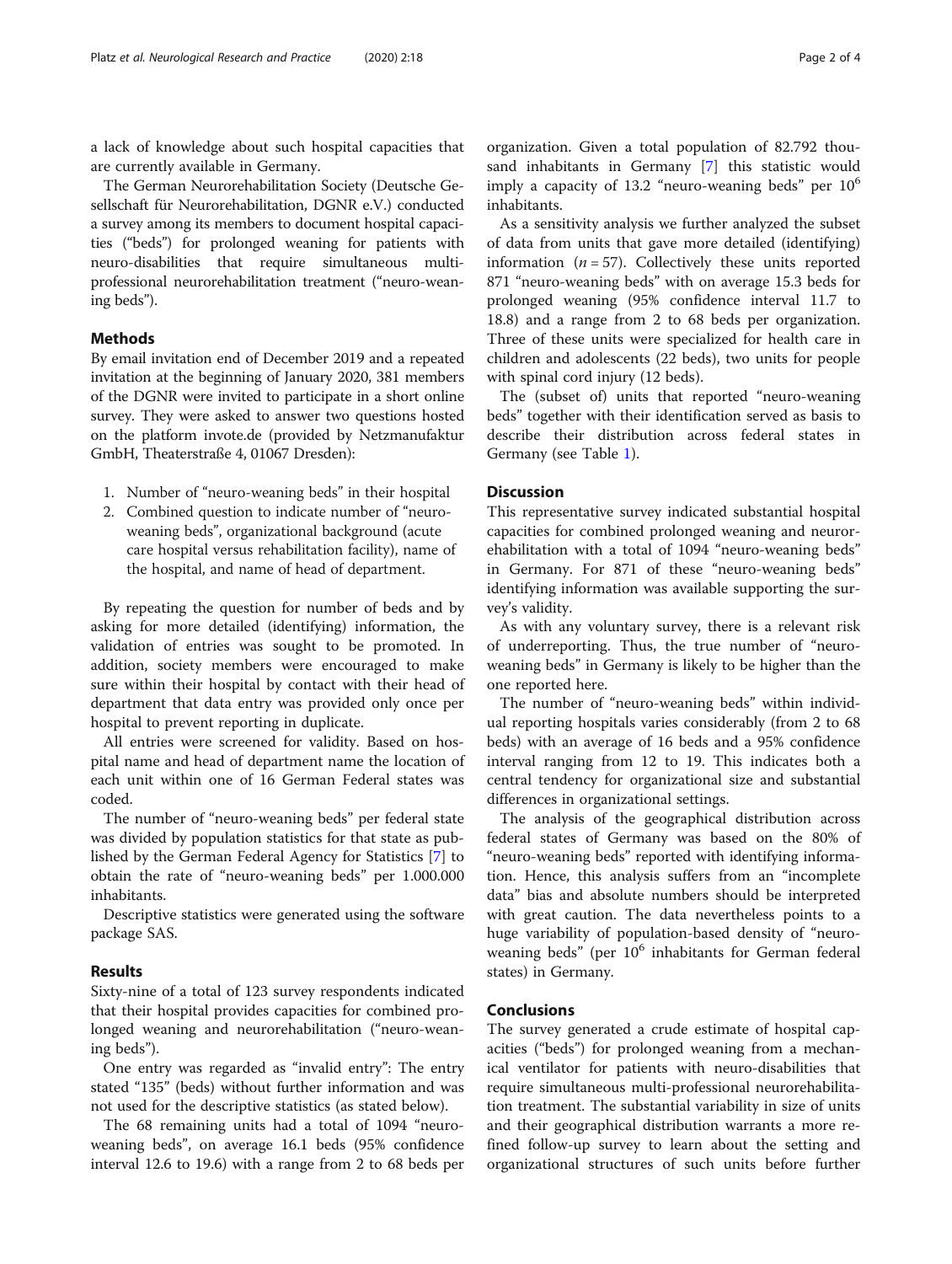a lack of knowledge about such hospital capacities that are currently available in Germany.

The German Neurorehabilitation Society (Deutsche Gesellschaft für Neurorehabilitation, DGNR e.V.) conducted a survey among its members to document hospital capacities ("beds") for prolonged weaning for patients with neuro-disabilities that require simultaneous multiprofessional neurorehabilitation treatment ("neuro-weaning beds").

### Methods

By email invitation end of December 2019 and a repeated invitation at the beginning of January 2020, 381 members of the DGNR were invited to participate in a short online survey. They were asked to answer two questions hosted on the platform invote.de (provided by Netzmanufaktur GmbH, Theaterstraße 4, 01067 Dresden):

- 1. Number of "neuro-weaning beds" in their hospital
- 2. Combined question to indicate number of "neuroweaning beds", organizational background (acute care hospital versus rehabilitation facility), name of the hospital, and name of head of department.

By repeating the question for number of beds and by asking for more detailed (identifying) information, the validation of entries was sought to be promoted. In addition, society members were encouraged to make sure within their hospital by contact with their head of department that data entry was provided only once per hospital to prevent reporting in duplicate.

All entries were screened for validity. Based on hospital name and head of department name the location of each unit within one of 16 German Federal states was coded.

The number of "neuro-weaning beds" per federal state was divided by population statistics for that state as published by the German Federal Agency for Statistics [\[7](#page-3-0)] to obtain the rate of "neuro-weaning beds" per 1.000.000 inhabitants.

Descriptive statistics were generated using the software package SAS.

#### Results

Sixty-nine of a total of 123 survey respondents indicated that their hospital provides capacities for combined prolonged weaning and neurorehabilitation ("neuro-weaning beds").

One entry was regarded as "invalid entry": The entry stated "135" (beds) without further information and was not used for the descriptive statistics (as stated below).

The 68 remaining units had a total of 1094 "neuroweaning beds", on average 16.1 beds (95% confidence interval 12.6 to 19.6) with a range from 2 to 68 beds per

organization. Given a total population of 82.792 thousand inhabitants in Germany [[7\]](#page-3-0) this statistic would imply a capacity of 13.2 "neuro-weaning beds" per  $10<sup>6</sup>$ inhabitants.

As a sensitivity analysis we further analyzed the subset of data from units that gave more detailed (identifying) information  $(n = 57)$ . Collectively these units reported 871 "neuro-weaning beds" with on average 15.3 beds for prolonged weaning (95% confidence interval 11.7 to 18.8) and a range from 2 to 68 beds per organization. Three of these units were specialized for health care in children and adolescents (22 beds), two units for people with spinal cord injury (12 beds).

The (subset of) units that reported "neuro-weaning beds" together with their identification served as basis to describe their distribution across federal states in Germany (see Table [1\)](#page-2-0).

#### **Discussion**

This representative survey indicated substantial hospital capacities for combined prolonged weaning and neurorehabilitation with a total of 1094 "neuro-weaning beds" in Germany. For 871 of these "neuro-weaning beds" identifying information was available supporting the survey's validity.

As with any voluntary survey, there is a relevant risk of underreporting. Thus, the true number of "neuroweaning beds" in Germany is likely to be higher than the one reported here.

The number of "neuro-weaning beds" within individual reporting hospitals varies considerably (from 2 to 68 beds) with an average of 16 beds and a 95% confidence interval ranging from 12 to 19. This indicates both a central tendency for organizational size and substantial differences in organizational settings.

The analysis of the geographical distribution across federal states of Germany was based on the 80% of "neuro-weaning beds" reported with identifying information. Hence, this analysis suffers from an "incomplete data" bias and absolute numbers should be interpreted with great caution. The data nevertheless points to a huge variability of population-based density of "neuroweaning beds" (per  $10^6$  inhabitants for German federal states) in Germany.

#### Conclusions

The survey generated a crude estimate of hospital capacities ("beds") for prolonged weaning from a mechanical ventilator for patients with neuro-disabilities that require simultaneous multi-professional neurorehabilitation treatment. The substantial variability in size of units and their geographical distribution warrants a more refined follow-up survey to learn about the setting and organizational structures of such units before further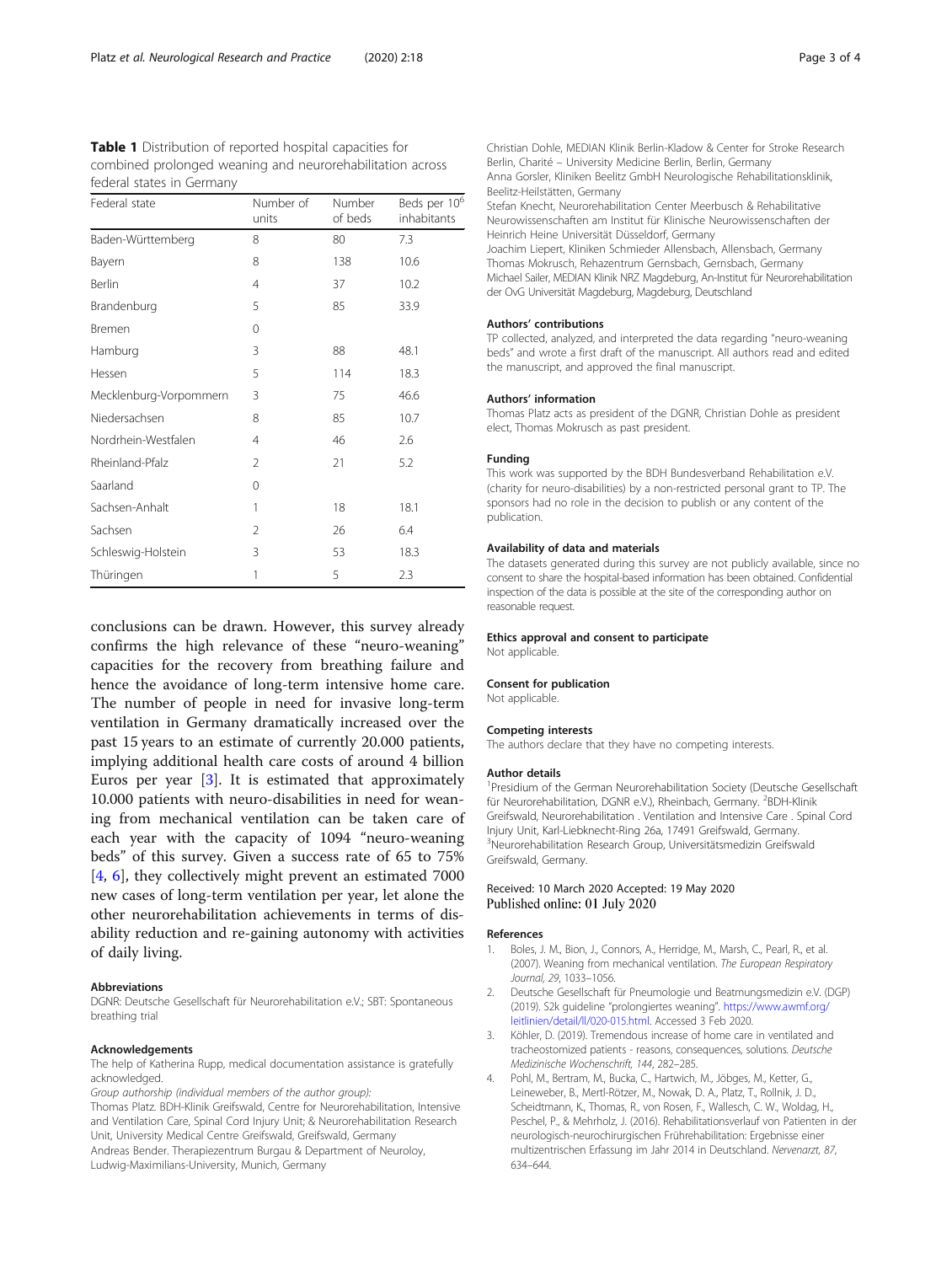<span id="page-2-0"></span>

| <b>Table 1</b> Distribution of reported hospital capacities for<br>combined prolonged weaning and neurorehabilitation across<br>federal states in Germany |                    |                   |                                         |  |
|-----------------------------------------------------------------------------------------------------------------------------------------------------------|--------------------|-------------------|-----------------------------------------|--|
| Federal state                                                                                                                                             | Number of<br>units | Number<br>of beds | Beds per 10 <sup>6</sup><br>inhabitants |  |
| Baden-Württemberg                                                                                                                                         | 8                  | 80                | 73                                      |  |

| Baden-Württemberg      | 8              | 80  | 7.3  |
|------------------------|----------------|-----|------|
| Bayern                 | 8              | 138 | 10.6 |
| Berlin                 | 4              | 37  | 10.2 |
| Brandenburg            | 5              | 85  | 33.9 |
| Bremen                 | 0              |     |      |
| Hamburg                | 3              | 88  | 48.1 |
| Hessen                 | 5              | 114 | 18.3 |
| Mecklenburg-Vorpommern | 3              | 75  | 46.6 |
| Niedersachsen          | 8              | 85  | 10.7 |
| Nordrhein-Westfalen    | 4              | 46  | 2.6  |
| Rheinland-Pfalz        | $\overline{2}$ | 21  | 5.2  |
| Saarland               | 0              |     |      |
| Sachsen-Anhalt         | 1              | 18  | 18.1 |
| Sachsen                | 2              | 26  | 6.4  |
| Schleswig-Holstein     | 3              | 53  | 18.3 |
| Thüringen              | 1              | 5   | フ3   |

conclusions can be drawn. However, this survey already confirms the high relevance of these "neuro-weaning" capacities for the recovery from breathing failure and hence the avoidance of long-term intensive home care. The number of people in need for invasive long-term ventilation in Germany dramatically increased over the past 15 years to an estimate of currently 20.000 patients, implying additional health care costs of around 4 billion Euros per year [3]. It is estimated that approximately 10.000 patients with neuro-disabilities in need for weaning from mechanical ventilation can be taken care of each year with the capacity of 1094 "neuro-weaning beds" of this survey. Given a success rate of 65 to 75% [4, [6](#page-3-0)], they collectively might prevent an estimated 7000 new cases of long-term ventilation per year, let alone the other neurorehabilitation achievements in terms of disability reduction and re-gaining autonomy with activities of daily living.

#### Abbreviations

DGNR: Deutsche Gesellschaft für Neurorehabilitation e.V.; SBT: Spontaneous breathing trial

#### Acknowledgements

The help of Katherina Rupp, medical documentation assistance is gratefully acknowledged.

Group authorship (individual members of the author group): Thomas Platz. BDH-Klinik Greifswald, Centre for Neurorehabilitation, Intensive and Ventilation Care, Spinal Cord Injury Unit; & Neurorehabilitation Research Unit, University Medical Centre Greifswald, Greifswald, Germany Andreas Bender. Therapiezentrum Burgau & Department of Neuroloy, Ludwig-Maximilians-University, Munich, Germany

Christian Dohle, MEDIAN Klinik Berlin-Kladow & Center for Stroke Research Berlin, Charité – University Medicine Berlin, Berlin, Germany Anna Gorsler, Kliniken Beelitz GmbH Neurologische Rehabilitationsklinik, Beelitz-Heilstätten, Germany Stefan Knecht, Neurorehabilitation Center Meerbusch & Rehabilitative Neurowissenschaften am Institut für Klinische Neurowissenschaften der Heinrich Heine Universität Düsseldorf, Germany

Joachim Liepert, Kliniken Schmieder Allensbach, Allensbach, Germany Thomas Mokrusch, Rehazentrum Gernsbach, Gernsbach, Germany Michael Sailer, MEDIAN Klinik NRZ Magdeburg, An-Institut für Neurorehabilitation der OvG Universität Magdeburg, Magdeburg, Deutschland

#### Authors' contributions

TP collected, analyzed, and interpreted the data regarding "neuro-weaning beds" and wrote a first draft of the manuscript. All authors read and edited the manuscript, and approved the final manuscript.

#### Authors' information

Thomas Platz acts as president of the DGNR, Christian Dohle as president elect, Thomas Mokrusch as past president.

#### Funding

This work was supported by the BDH Bundesverband Rehabilitation e.V. (charity for neuro-disabilities) by a non-restricted personal grant to TP. The sponsors had no role in the decision to publish or any content of the publication.

#### Availability of data and materials

The datasets generated during this survey are not publicly available, since no consent to share the hospital-based information has been obtained. Confidential inspection of the data is possible at the site of the corresponding author on reasonable request.

#### Ethics approval and consent to participate

Not applicable.

# Consent for publication

Not applicable.

#### Competing interests

The authors declare that they have no competing interests.

#### Author details

<sup>1</sup>Presidium of the German Neurorehabilitation Society (Deutsche Gesellschaft für Neurorehabilitation, DGNR e.V.), Rheinbach, Germany. <sup>2</sup>BDH-Klinik Greifswald, Neurorehabilitation . Ventilation and Intensive Care . Spinal Cord Injury Unit, Karl-Liebknecht-Ring 26a, 17491 Greifswald, Germany. 3 Neurorehabilitation Research Group, Universitätsmedizin Greifswald Greifswald, Germany.

#### Received: 10 March 2020 Accepted: 19 May 2020 Published online: 01 July 2020

#### References

- 1. Boles, J. M., Bion, J., Connors, A., Herridge, M., Marsh, C., Pearl, R., et al. (2007). Weaning from mechanical ventilation. The European Respiratory Journal, 29, 1033–1056.
- 2. Deutsche Gesellschaft für Pneumologie und Beatmungsmedizin e.V. (DGP) (2019). S2k guideline "prolongiertes weaning". [https://www.awmf.org/](https://www.awmf.org/leitlinien/detail/ll/020-015.html) [leitlinien/detail/ll/020-015.html.](https://www.awmf.org/leitlinien/detail/ll/020-015.html) Accessed 3 Feb 2020.
- Köhler, D. (2019). Tremendous increase of home care in ventilated and tracheostomized patients - reasons, consequences, solutions. Deutsche Medizinische Wochenschrift, 144, 282–285.
- 4. Pohl, M., Bertram, M., Bucka, C., Hartwich, M., Jöbges, M., Ketter, G., Leineweber, B., Mertl-Rötzer, M., Nowak, D. A., Platz, T., Rollnik, J. D., Scheidtmann, K., Thomas, R., von Rosen, F., Wallesch, C. W., Woldag, H., Peschel, P., & Mehrholz, J. (2016). Rehabilitationsverlauf von Patienten in der neurologisch-neurochirurgischen Frührehabilitation: Ergebnisse einer multizentrischen Erfassung im Jahr 2014 in Deutschland. Nervenarzt, 87, 634–644.